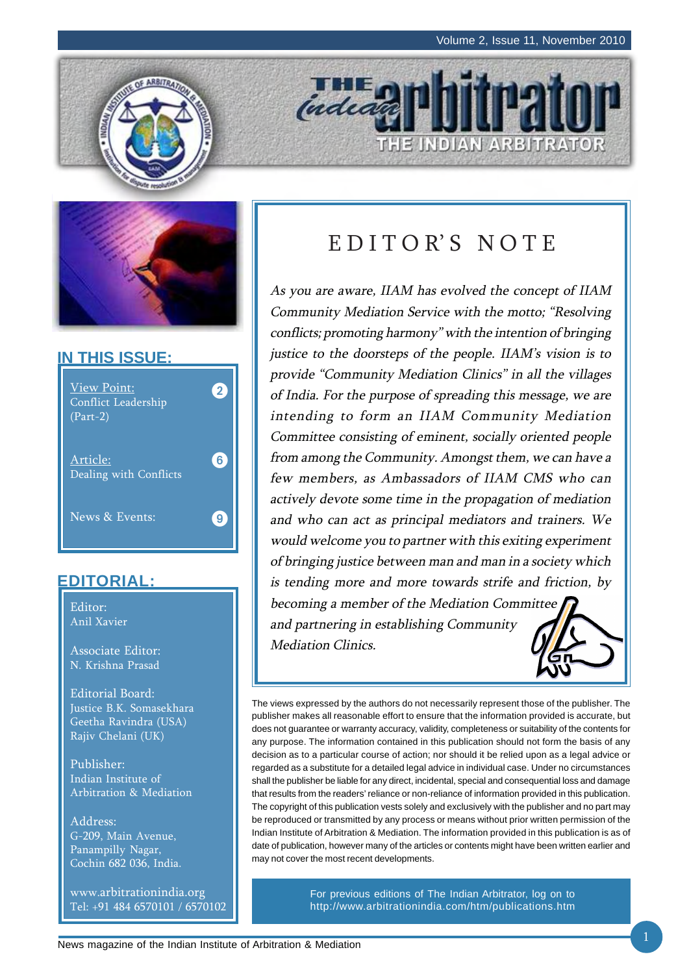THE INDIAN ARBITRATOR





### **IN THIS ISSUE:**



## **EDITORIAL:**

Editor: Anil Xavier

Associate Editor: N. Krishna Prasad

Editorial Board: Justice B.K. Somasekhara Geetha Ravindra (USA) Rajiv Chelani (UK)

Publisher: Indian Institute of Arbitration & Mediation

Address: G-209, Main Avenue, Panampilly Nagar, Cochin 682 036, India.

www.arbitrationindia.org Tel: +91 484 6570101 / 6570102

# EDITOR'S NOTE

inded

As you are aware, IIAM has evolved the concept of IIAM Community Mediation Service with the motto; "Resolving conflicts; promoting harmony" with the intention of bringing justice to the doorsteps of the people. IIAM's vision is to provide "Community Mediation Clinics" in all the villages of India. For the purpose of spreading this message, we are intending to form an IIAM Community Mediation Committee consisting of eminent, socially oriented people from among the Community. Amongst them, we can have a few members, as Ambassadors of IIAM CMS who can actively devote some time in the propagation of mediation and who can act as principal mediators and trainers. We would welcome you to partner with this exiting experiment of bringing justice between man and man in a society which is tending more and more towards strife and friction, by becoming a member of the Mediation Committee and partnering in establishing Community Mediation Clinics.



The views expressed by the authors do not necessarily represent those of the publisher. The publisher makes all reasonable effort to ensure that the information provided is accurate, but does not guarantee or warranty accuracy, validity, completeness or suitability of the contents for any purpose. The information contained in this publication should not form the basis of any decision as to a particular course of action; nor should it be relied upon as a legal advice or regarded as a substitute for a detailed legal advice in individual case. Under no circumstances shall the publisher be liable for any direct, incidental, special and consequential loss and damage that results from the readers' reliance or non-reliance of information provided in this publication. The copyright of this publication vests solely and exclusively with the publisher and no part may be reproduced or transmitted by any process or means without prior written permission of the Indian Institute of Arbitration & Mediation. The information provided in this publication is as of date of publication, however many of the articles or contents might have been written earlier and may not cover the most recent developments.

> For previous editions of The Indian Arbitrator, log on to http://www.arbitrationindia.com/htm/publications.htm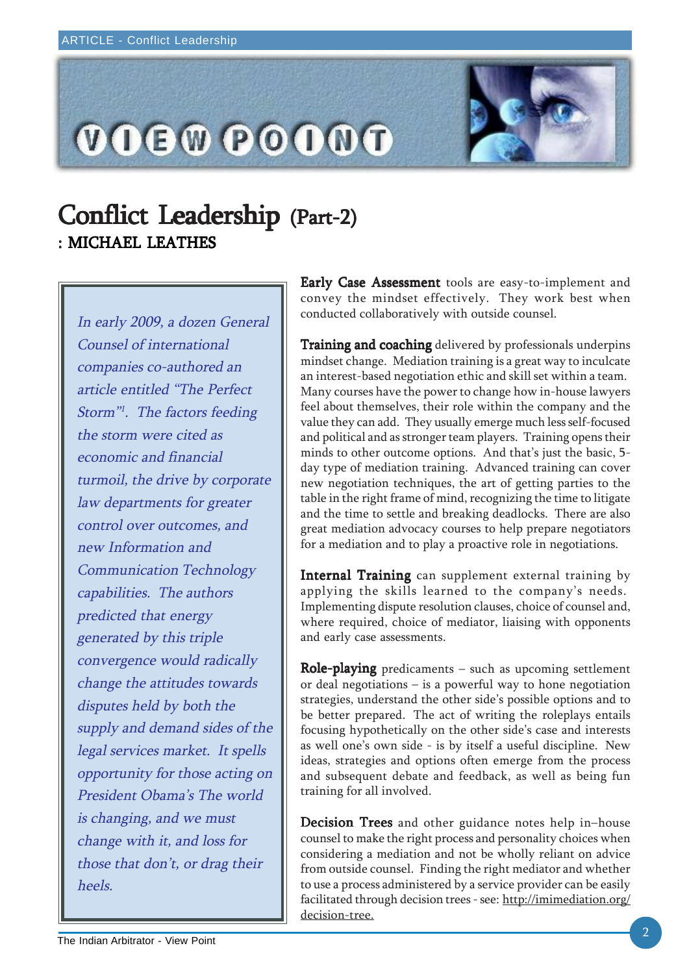

# Conflict Leadership (Part-2) : MICHAEL LEATHES

In early 2009, a dozen General Counsel of international companies co-authored an article entitled "The Perfect Storm"1. The factors feeding the storm were cited as economic and financial turmoil, the drive by corporate law departments for greater control over outcomes, and new Information and Communication Technology capabilities. The authors predicted that energy generated by this triple convergence would radically change the attitudes towards disputes held by both the supply and demand sides of the legal services market. It spells opportunity for those acting on President Obama's The world is changing, and we must change with it, and loss for those that don't, or drag their heels.

Early Case Assessment tools are easy-to-implement and convey the mindset effectively. They work best when conducted collaboratively with outside counsel.

**Training and coaching** delivered by professionals underpins mindset change. Mediation training is a great way to inculcate an interest-based negotiation ethic and skill set within a team. Many courses have the power to change how in-house lawyers feel about themselves, their role within the company and the value they can add. They usually emerge much less self-focused and political and as stronger team players. Training opens their minds to other outcome options. And that's just the basic, 5 day type of mediation training. Advanced training can cover new negotiation techniques, the art of getting parties to the table in the right frame of mind, recognizing the time to litigate and the time to settle and breaking deadlocks. There are also great mediation advocacy courses to help prepare negotiators for a mediation and to play a proactive role in negotiations.

Internal Training can supplement external training by applying the skills learned to the company's needs. Implementing dispute resolution clauses, choice of counsel and, where required, choice of mediator, liaising with opponents and early case assessments.

**Role-playing** predicaments – such as upcoming settlement or deal negotiations – is a powerful way to hone negotiation strategies, understand the other side's possible options and to be better prepared. The act of writing the roleplays entails focusing hypothetically on the other side's case and interests as well one's own side - is by itself a useful discipline. New ideas, strategies and options often emerge from the process and subsequent debate and feedback, as well as being fun training for all involved.

Decision Trees and other guidance notes help in-house counsel to make the right process and personality choices when considering a mediation and not be wholly reliant on advice from outside counsel. Finding the right mediator and whether to use a process administered by a service provider can be easily facilitated through decision trees - see: http://imimediation.org/ decision-tree.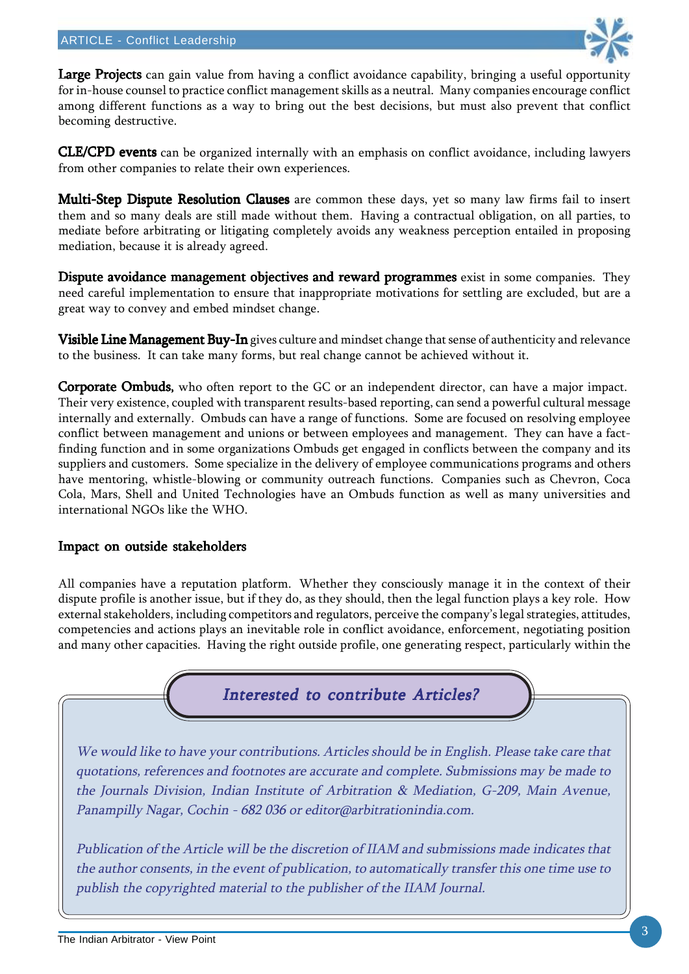

Large Projects can gain value from having a conflict avoidance capability, bringing a useful opportunity for in-house counsel to practice conflict management skills as a neutral. Many companies encourage conflict among different functions as a way to bring out the best decisions, but must also prevent that conflict becoming destructive.

CLE/CPD events CLE/CPD events can be organized internally with an emphasis on conflict avoidance, including lawyers from other companies to relate their own experiences.

Multi-Step Dispute Resolution Clauses are common these days, yet so many law firms fail to insert them and so many deals are still made without them. Having a contractual obligation, on all parties, to mediate before arbitrating or litigating completely avoids any weakness perception entailed in proposing mediation, because it is already agreed.

Dispute avoidance management objectives and reward programmes exist in some companies. They need careful implementation to ensure that inappropriate motivations for settling are excluded, but are a great way to convey and embed mindset change.

Visible Line Management Buy-In gives culture and mindset change that sense of authenticity and relevance to the business. It can take many forms, but real change cannot be achieved without it.

Corporate Ombuds, who often report to the GC or an independent director, can have a major impact. Their very existence, coupled with transparent results-based reporting, can send a powerful cultural message internally and externally. Ombuds can have a range of functions. Some are focused on resolving employee conflict between management and unions or between employees and management. They can have a factfinding function and in some organizations Ombuds get engaged in conflicts between the company and its suppliers and customers. Some specialize in the delivery of employee communications programs and others have mentoring, whistle-blowing or community outreach functions. Companies such as Chevron, Coca Cola, Mars, Shell and United Technologies have an Ombuds function as well as many universities and international NGOs like the WHO.

### Impact on outside stakeholders

All companies have a reputation platform. Whether they consciously manage it in the context of their dispute profile is another issue, but if they do, as they should, then the legal function plays a key role. How external stakeholders, including competitors and regulators, perceive the company's legal strategies, attitudes, competencies and actions plays an inevitable role in conflict avoidance, enforcement, negotiating position and many other capacities. Having the right outside profile, one generating respect, particularly within the



We would like to have your contributions. Articles should be in English. Please take care that quotations, references and footnotes are accurate and complete. Submissions may be made to the Journals Division, Indian Institute of Arbitration & Mediation, G-209, Main Avenue, Panampilly Nagar, Cochin - 682 036 or editor@arbitrationindia.com.

Publication of the Article will be the discretion of IIAM and submissions made indicates that the author consents, in the event of publication, to automatically transfer this one time use to publish the copyrighted material to the publisher of the IIAM Journal.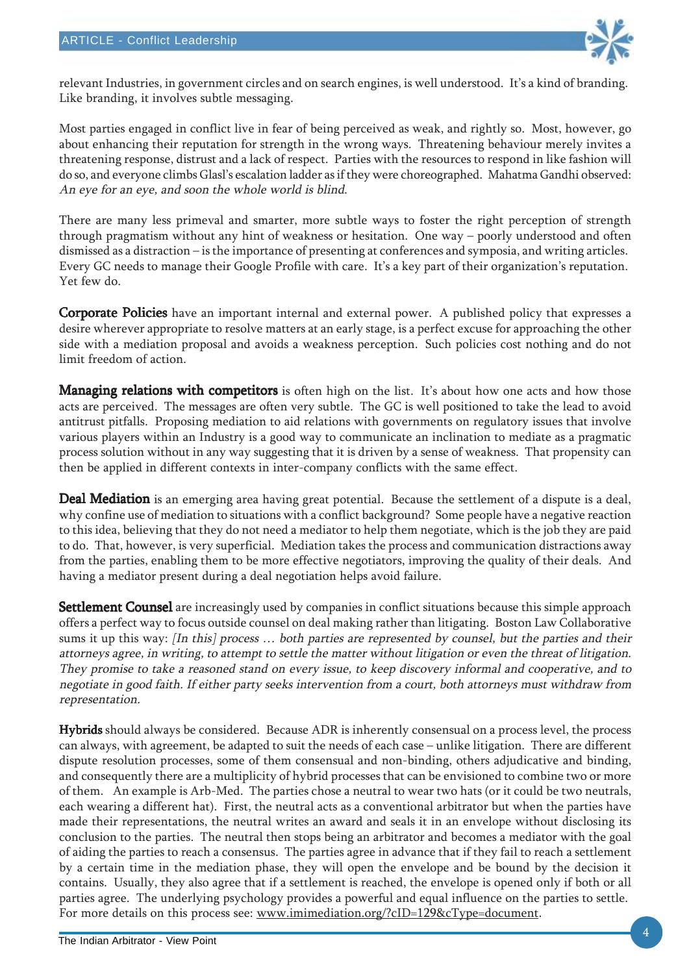

relevant Industries, in government circles and on search engines, is well understood. It's a kind of branding. Like branding, it involves subtle messaging.

Most parties engaged in conflict live in fear of being perceived as weak, and rightly so. Most, however, go about enhancing their reputation for strength in the wrong ways. Threatening behaviour merely invites a threatening response, distrust and a lack of respect. Parties with the resources to respond in like fashion will do so, and everyone climbs Glasl's escalation ladder as if they were choreographed. Mahatma Gandhi observed: An eye for an eye, and soon the whole world is blind.

There are many less primeval and smarter, more subtle ways to foster the right perception of strength through pragmatism without any hint of weakness or hesitation. One way – poorly understood and often dismissed as a distraction – is the importance of presenting at conferences and symposia, and writing articles. Every GC needs to manage their Google Profile with care. It's a key part of their organization's reputation. Yet few do.

**Corporate Policies** have an important internal and external power. A published policy that expresses a desire wherever appropriate to resolve matters at an early stage, is a perfect excuse for approaching the other side with a mediation proposal and avoids a weakness perception. Such policies cost nothing and do not limit freedom of action.

**Managing relations with competitors** is often high on the list. It's about how one acts and how those acts are perceived. The messages are often very subtle. The GC is well positioned to take the lead to avoid antitrust pitfalls. Proposing mediation to aid relations with governments on regulatory issues that involve various players within an Industry is a good way to communicate an inclination to mediate as a pragmatic process solution without in any way suggesting that it is driven by a sense of weakness. That propensity can then be applied in different contexts in inter-company conflicts with the same effect.

Deal Mediation is an emerging area having great potential. Because the settlement of a dispute is a deal, why confine use of mediation to situations with a conflict background? Some people have a negative reaction to this idea, believing that they do not need a mediator to help them negotiate, which is the job they are paid to do. That, however, is very superficial. Mediation takes the process and communication distractions away from the parties, enabling them to be more effective negotiators, improving the quality of their deals. And having a mediator present during a deal negotiation helps avoid failure.

Settlement Counsel are increasingly used by companies in conflict situations because this simple approach offers a perfect way to focus outside counsel on deal making rather than litigating. Boston Law Collaborative sums it up this way: [In this] process ... both parties are represented by counsel, but the parties and their attorneys agree, in writing, to attempt to settle the matter without litigation or even the threat of litigation. They promise to take a reasoned stand on every issue, to keep discovery informal and cooperative, and to negotiate in good faith. If either party seeks intervention from a court, both attorneys must withdraw from representation.

Hybrids should always be considered. Because ADR is inherently consensual on a process level, the process can always, with agreement, be adapted to suit the needs of each case – unlike litigation. There are different dispute resolution processes, some of them consensual and non-binding, others adjudicative and binding, and consequently there are a multiplicity of hybrid processes that can be envisioned to combine two or more of them. An example is Arb-Med. The parties chose a neutral to wear two hats (or it could be two neutrals, each wearing a different hat). First, the neutral acts as a conventional arbitrator but when the parties have made their representations, the neutral writes an award and seals it in an envelope without disclosing its conclusion to the parties. The neutral then stops being an arbitrator and becomes a mediator with the goal of aiding the parties to reach a consensus. The parties agree in advance that if they fail to reach a settlement by a certain time in the mediation phase, they will open the envelope and be bound by the decision it contains. Usually, they also agree that if a settlement is reached, the envelope is opened only if both or all parties agree. The underlying psychology provides a powerful and equal influence on the parties to settle. For more details on this process see: www.imimediation.org/?cID=129&cType=document.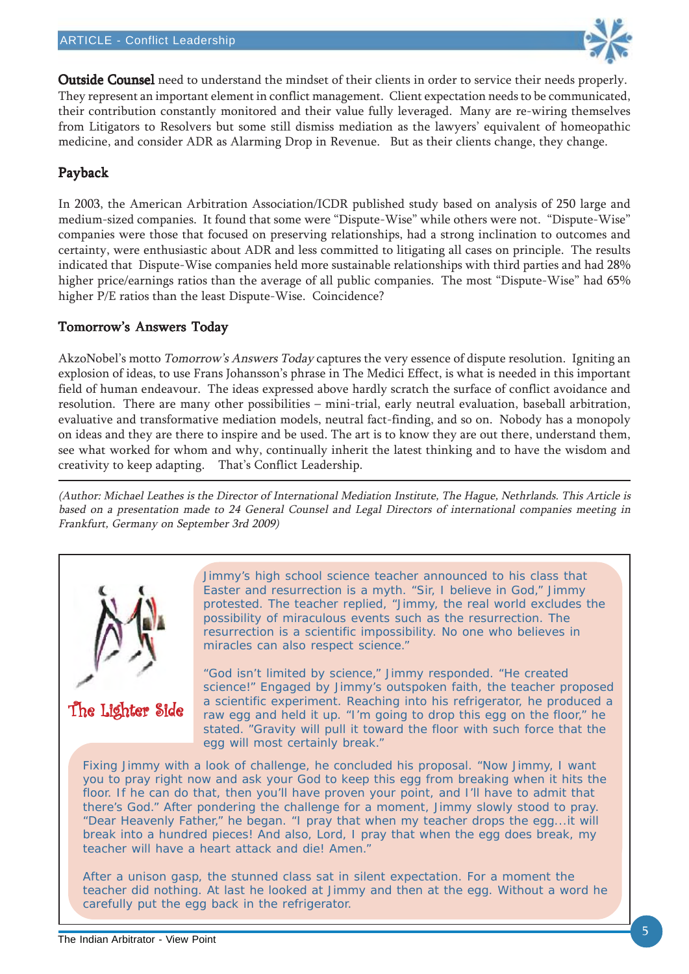

**Outside Counsel** need to understand the mindset of their clients in order to service their needs properly. They represent an important element in conflict management. Client expectation needs to be communicated, their contribution constantly monitored and their value fully leveraged. Many are re-wiring themselves from Litigators to Resolvers but some still dismiss mediation as the lawyers' equivalent of homeopathic medicine, and consider ADR as Alarming Drop in Revenue. But as their clients change, they change.

### Payback

In 2003, the American Arbitration Association/ICDR published study based on analysis of 250 large and medium-sized companies. It found that some were "Dispute-Wise" while others were not. "Dispute-Wise" companies were those that focused on preserving relationships, had a strong inclination to outcomes and certainty, were enthusiastic about ADR and less committed to litigating all cases on principle. The results indicated that Dispute-Wise companies held more sustainable relationships with third parties and had 28% higher price/earnings ratios than the average of all public companies. The most "Dispute-Wise" had 65% higher P/E ratios than the least Dispute-Wise. Coincidence?

### Tomorrow's Answers Today

AkzoNobel's motto Tomorrow's Answers Today captures the very essence of dispute resolution. Igniting an explosion of ideas, to use Frans Johansson's phrase in The Medici Effect, is what is needed in this important field of human endeavour. The ideas expressed above hardly scratch the surface of conflict avoidance and resolution. There are many other possibilities – mini-trial, early neutral evaluation, baseball arbitration, evaluative and transformative mediation models, neutral fact-finding, and so on. Nobody has a monopoly on ideas and they are there to inspire and be used. The art is to know they are out there, understand them, see what worked for whom and why, continually inherit the latest thinking and to have the wisdom and creativity to keep adapting. That's Conflict Leadership.

(Author: Michael Leathes is the Director of International Mediation Institute, The Hague, Nethrlands. This Article is based on a presentation made to 24 General Counsel and Legal Directors of international companies meeting in Frankfurt, Germany on September 3rd 2009)



The Lighter Side

Jimmy's high school science teacher announced to his class that Easter and resurrection is a myth. "Sir, I believe in God," Jimmy protested. The teacher replied, "Jimmy, the real world excludes the possibility of miraculous events such as the resurrection. The resurrection is a scientific impossibility. No one who believes in miracles can also respect science."

"God isn't limited by science," Jimmy responded. "He created science!" Engaged by Jimmy's outspoken faith, the teacher proposed a scientific experiment. Reaching into his refrigerator, he produced a raw egg and held it up. "I'm going to drop this egg on the floor," he stated. "Gravity will pull it toward the floor with such force that the egg will most certainly break."

Fixing Jimmy with a look of challenge, he concluded his proposal. "Now Jimmy, I want you to pray right now and ask your God to keep this egg from breaking when it hits the floor. If he can do that, then you'll have proven your point, and I'll have to admit that there's God." After pondering the challenge for a moment, Jimmy slowly stood to pray. "Dear Heavenly Father," he began. "I pray that when my teacher drops the egg...it will break into a hundred pieces! And also, Lord, I pray that when the egg does break, my teacher will have a heart attack and die! Amen."

After a unison gasp, the stunned class sat in silent expectation. For a moment the teacher did nothing. At last he looked at Jimmy and then at the egg. Without a word he carefully put the egg back in the refrigerator.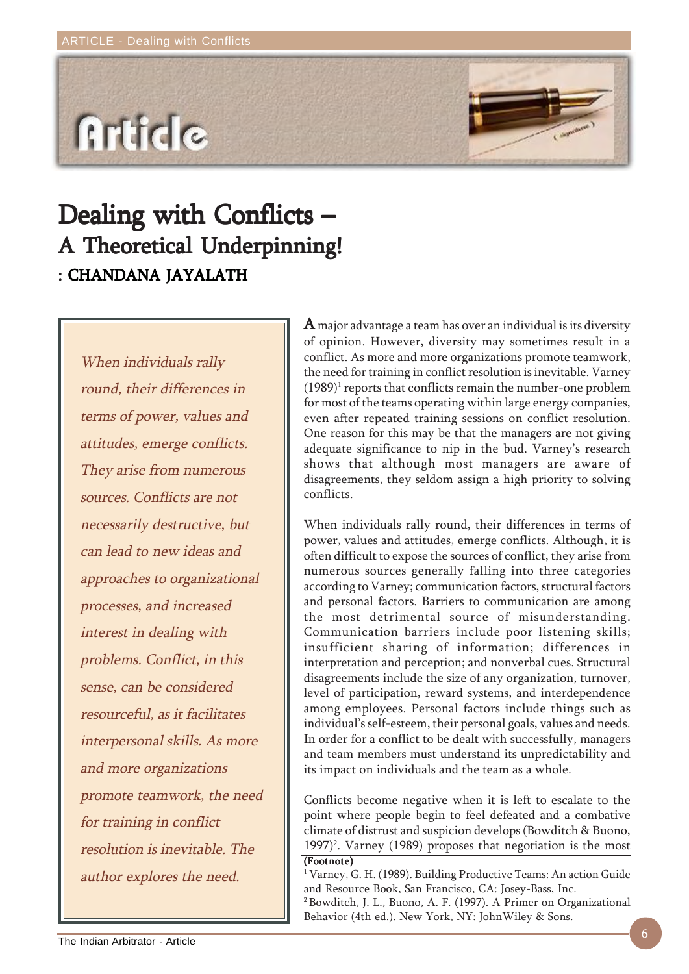



# Dealing with Conflicts – A Theoretical Underpinning! : CHANDANA JAYALATH

When individuals rally round, their differences in terms of power, values and attitudes, emerge conflicts. They arise from numerous sources. Conflicts are not necessarily destructive, but can lead to new ideas and approaches to organizational processes, and increased interest in dealing with problems. Conflict, in this sense, can be considered resourceful, as it facilitates interpersonal skills. As more and more organizations promote teamwork, the need for training in conflict resolution is inevitable. The author explores the need.

 $\bf{A}$  major advantage a team has over an individual is its diversity of opinion. However, diversity may sometimes result in a conflict. As more and more organizations promote teamwork, the need for training in conflict resolution is inevitable. Varney  $(1989)^1$  reports that conflicts remain the number-one problem for most of the teams operating within large energy companies, even after repeated training sessions on conflict resolution. One reason for this may be that the managers are not giving adequate significance to nip in the bud. Varney's research shows that although most managers are aware of disagreements, they seldom assign a high priority to solving conflicts.

When individuals rally round, their differences in terms of power, values and attitudes, emerge conflicts. Although, it is often difficult to expose the sources of conflict, they arise from numerous sources generally falling into three categories according to Varney; communication factors, structural factors and personal factors. Barriers to communication are among the most detrimental source of misunderstanding. Communication barriers include poor listening skills; insufficient sharing of information; differences in interpretation and perception; and nonverbal cues. Structural disagreements include the size of any organization, turnover, level of participation, reward systems, and interdependence among employees. Personal factors include things such as individual's self-esteem, their personal goals, values and needs. In order for a conflict to be dealt with successfully, managers and team members must understand its unpredictability and its impact on individuals and the team as a whole.

Conflicts become negative when it is left to escalate to the point where people begin to feel defeated and a combative climate of distrust and suspicion develops (Bowditch & Buono, 1997)<sup>2</sup>. Varney (1989) proposes that negotiation is the most (Footnote)

1 Varney, G. H. (1989). Building Productive Teams: An action Guide and Resource Book, San Francisco, CA: Josey-Bass, Inc. 2 Bowditch, J. L., Buono, A. F. (1997). A Primer on Organizational Behavior (4th ed.). New York, NY: JohnWiley & Sons.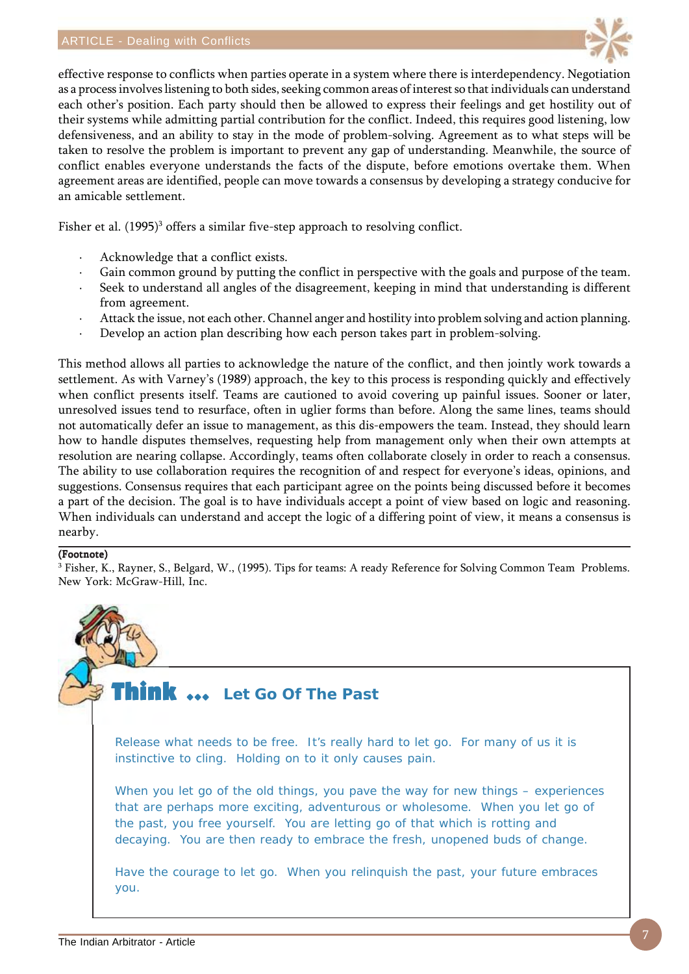#### ARTICLE - Dealing with Conflicts



effective response to conflicts when parties operate in a system where there is interdependency. Negotiation as a process involves listening to both sides, seeking common areas of interest so that individuals can understand each other's position. Each party should then be allowed to express their feelings and get hostility out of their systems while admitting partial contribution for the conflict. Indeed, this requires good listening, low defensiveness, and an ability to stay in the mode of problem-solving. Agreement as to what steps will be taken to resolve the problem is important to prevent any gap of understanding. Meanwhile, the source of conflict enables everyone understands the facts of the dispute, before emotions overtake them. When agreement areas are identified, people can move towards a consensus by developing a strategy conducive for an amicable settlement.

Fisher et al. (1995)<sup>3</sup> offers a similar five-step approach to resolving conflict.

- Acknowledge that a conflict exists.
- Gain common ground by putting the conflict in perspective with the goals and purpose of the team.
- Seek to understand all angles of the disagreement, keeping in mind that understanding is different from agreement.
- Attack the issue, not each other. Channel anger and hostility into problem solving and action planning.
- Develop an action plan describing how each person takes part in problem-solving.

This method allows all parties to acknowledge the nature of the conflict, and then jointly work towards a settlement. As with Varney's (1989) approach, the key to this process is responding quickly and effectively when conflict presents itself. Teams are cautioned to avoid covering up painful issues. Sooner or later, unresolved issues tend to resurface, often in uglier forms than before. Along the same lines, teams should not automatically defer an issue to management, as this dis-empowers the team. Instead, they should learn how to handle disputes themselves, requesting help from management only when their own attempts at resolution are nearing collapse. Accordingly, teams often collaborate closely in order to reach a consensus. The ability to use collaboration requires the recognition of and respect for everyone's ideas, opinions, and suggestions. Consensus requires that each participant agree on the points being discussed before it becomes a part of the decision. The goal is to have individuals accept a point of view based on logic and reasoning. When individuals can understand and accept the logic of a differing point of view, it means a consensus is nearby.

#### (Footnote)

3 Fisher, K., Rayner, S., Belgard, W., (1995). Tips for teams: A ready Reference for Solving Common Team Problems. New York: McGraw-Hill, Inc.

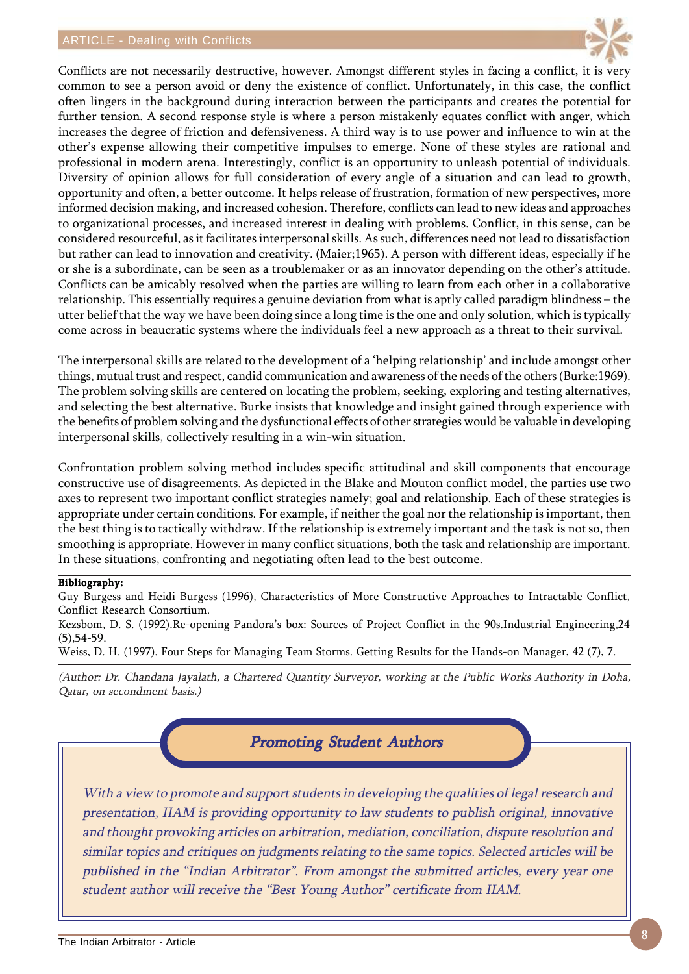

Conflicts are not necessarily destructive, however. Amongst different styles in facing a conflict, it is very common to see a person avoid or deny the existence of conflict. Unfortunately, in this case, the conflict often lingers in the background during interaction between the participants and creates the potential for further tension. A second response style is where a person mistakenly equates conflict with anger, which increases the degree of friction and defensiveness. A third way is to use power and influence to win at the other's expense allowing their competitive impulses to emerge. None of these styles are rational and professional in modern arena. Interestingly, conflict is an opportunity to unleash potential of individuals. Diversity of opinion allows for full consideration of every angle of a situation and can lead to growth, opportunity and often, a better outcome. It helps release of frustration, formation of new perspectives, more informed decision making, and increased cohesion. Therefore, conflicts can lead to new ideas and approaches to organizational processes, and increased interest in dealing with problems. Conflict, in this sense, can be considered resourceful, as it facilitates interpersonal skills. As such, differences need not lead to dissatisfaction but rather can lead to innovation and creativity. (Maier;1965). A person with different ideas, especially if he or she is a subordinate, can be seen as a troublemaker or as an innovator depending on the other's attitude. Conflicts can be amicably resolved when the parties are willing to learn from each other in a collaborative relationship. This essentially requires a genuine deviation from what is aptly called paradigm blindness – the utter belief that the way we have been doing since a long time is the one and only solution, which is typically come across in beaucratic systems where the individuals feel a new approach as a threat to their survival.

The interpersonal skills are related to the development of a 'helping relationship' and include amongst other things, mutual trust and respect, candid communication and awareness of the needs of the others (Burke:1969). The problem solving skills are centered on locating the problem, seeking, exploring and testing alternatives, and selecting the best alternative. Burke insists that knowledge and insight gained through experience with the benefits of problem solving and the dysfunctional effects of other strategies would be valuable in developing interpersonal skills, collectively resulting in a win-win situation.

Confrontation problem solving method includes specific attitudinal and skill components that encourage constructive use of disagreements. As depicted in the Blake and Mouton conflict model, the parties use two axes to represent two important conflict strategies namely; goal and relationship. Each of these strategies is appropriate under certain conditions. For example, if neither the goal nor the relationship is important, then the best thing is to tactically withdraw. If the relationship is extremely important and the task is not so, then smoothing is appropriate. However in many conflict situations, both the task and relationship are important. In these situations, confronting and negotiating often lead to the best outcome.

#### Bibliography: Bibliography:

Guy Burgess and Heidi Burgess (1996), Characteristics of More Constructive Approaches to Intractable Conflict, Conflict Research Consortium.

Kezsbom, D. S. (1992).Re-opening Pandora's box: Sources of Project Conflict in the 90s.Industrial Engineering,24 (5),54-59.

Weiss, D. H. (1997). Four Steps for Managing Team Storms. Getting Results for the Hands-on Manager, 42 (7), 7.

(Author: Dr. Chandana Jayalath, a Chartered Quantity Surveyor, working at the Public Works Authority in Doha, Qatar, on secondment basis.)

### Promoting Student Authors

With a view to promote and support students in developing the qualities of legal research and presentation, IIAM is providing opportunity to law students to publish original, innovative and thought provoking articles on arbitration, mediation, conciliation, dispute resolution and similar topics and critiques on judgments relating to the same topics. Selected articles will be published in the "Indian Arbitrator". From amongst the submitted articles, every year one student author will receive the "Best Young Author" certificate from IIAM.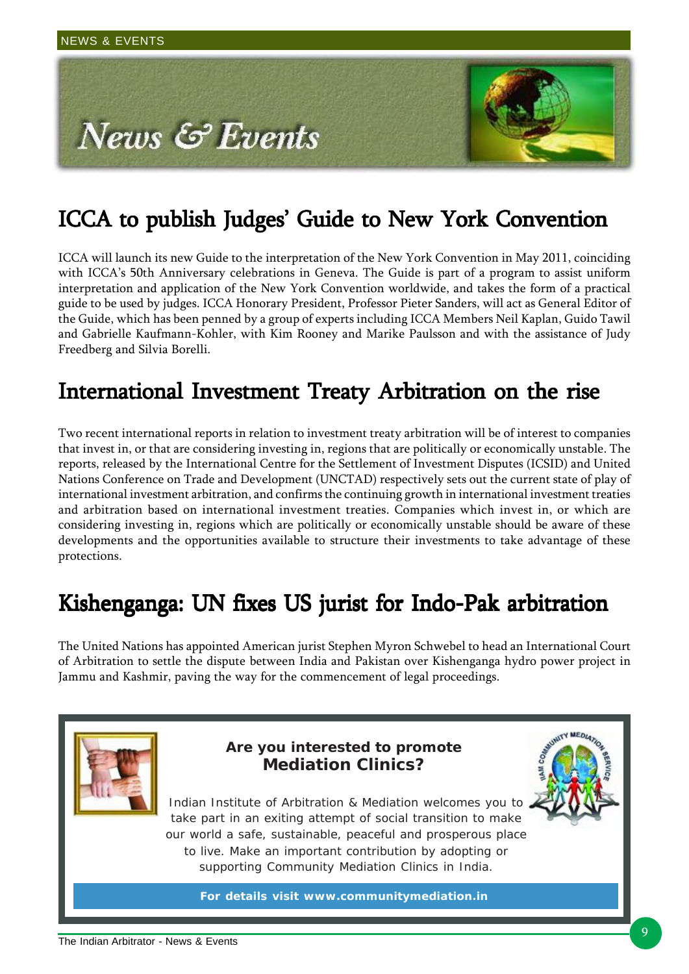

# ICCA to publish Judges' Guide to New York Convention

ICCA will launch its new Guide to the interpretation of the New York Convention in May 2011, coinciding with ICCA's 50th Anniversary celebrations in Geneva. The Guide is part of a program to assist uniform interpretation and application of the New York Convention worldwide, and takes the form of a practical guide to be used by judges. ICCA Honorary President, Professor Pieter Sanders, will act as General Editor of the Guide, which has been penned by a group of experts including ICCA Members Neil Kaplan, Guido Tawil and Gabrielle Kaufmann-Kohler, with Kim Rooney and Marike Paulsson and with the assistance of Judy Freedberg and Silvia Borelli.

## International Investment Treaty Arbitration on the rise

Two recent international reports in relation to investment treaty arbitration will be of interest to companies that invest in, or that are considering investing in, regions that are politically or economically unstable. The reports, released by the International Centre for the Settlement of Investment Disputes (ICSID) and United Nations Conference on Trade and Development (UNCTAD) respectively sets out the current state of play of international investment arbitration, and confirms the continuing growth in international investment treaties and arbitration based on international investment treaties. Companies which invest in, or which are considering investing in, regions which are politically or economically unstable should be aware of these developments and the opportunities available to structure their investments to take advantage of these protections.

# Kishenganga: UN fixes US jurist for Indo-Pak arbitration

The United Nations has appointed American jurist Stephen Myron Schwebel to head an International Court of Arbitration to settle the dispute between India and Pakistan over Kishenganga hydro power project in Jammu and Kashmir, paving the way for the commencement of legal proceedings.



### **Are you interested to promote Mediation Clinics?**

Indian Institute of Arbitration & Mediation welcomes you to take part in an exiting attempt of social transition to make our world a safe, sustainable, peaceful and prosperous place to live. Make an important contribution by adopting or supporting Community Mediation Clinics in India.

**For details visit www.communitymediation.in**

**VIMEO**